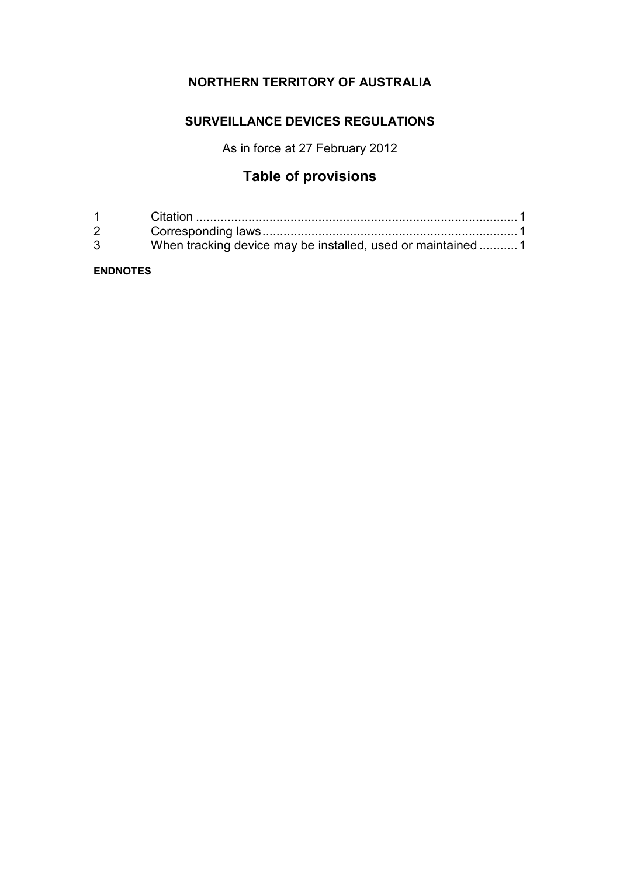# **NORTHERN TERRITORY OF AUSTRALIA**

### **SURVEILLANCE DEVICES REGULATIONS**

As in force at 27 February 2012

# **Table of provisions**

| $1 \quad \Box$ |                                                             |
|----------------|-------------------------------------------------------------|
| $2^{\circ}$    |                                                             |
| $\mathbf{3}$   | When tracking device may be installed, used or maintained 1 |

#### **ENDNOTES**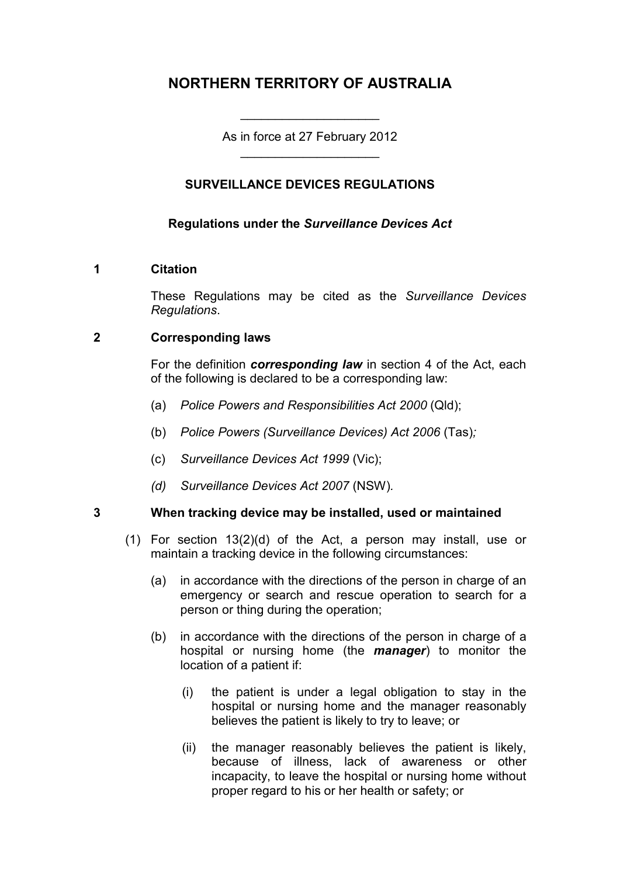# **NORTHERN TERRITORY OF AUSTRALIA**

As in force at 27 February 2012 \_\_\_\_\_\_\_\_\_\_\_\_\_\_\_\_\_\_\_\_

\_\_\_\_\_\_\_\_\_\_\_\_\_\_\_\_\_\_\_\_

#### **SURVEILLANCE DEVICES REGULATIONS**

#### **Regulations under the** *Surveillance Devices Act*

#### **1 Citation**

These Regulations may be cited as the *Surveillance Devices Regulations*.

#### **2 Corresponding laws**

For the definition *corresponding law* in section 4 of the Act, each of the following is declared to be a corresponding law:

- (a) *Police Powers and Responsibilities Act 2000* (Qld);
- (b) *Police Powers (Surveillance Devices) Act 2006* (Tas)*;*
- (c) *Surveillance Devices Act 1999* (Vic);
- *(d) Surveillance Devices Act 2007* (NSW)*.*

#### **3 When tracking device may be installed, used or maintained**

- (1) For section 13(2)(d) of the Act, a person may install, use or maintain a tracking device in the following circumstances:
	- (a) in accordance with the directions of the person in charge of an emergency or search and rescue operation to search for a person or thing during the operation;
	- (b) in accordance with the directions of the person in charge of a hospital or nursing home (the *manager*) to monitor the location of a patient if:
		- (i) the patient is under a legal obligation to stay in the hospital or nursing home and the manager reasonably believes the patient is likely to try to leave; or
		- (ii) the manager reasonably believes the patient is likely, because of illness, lack of awareness or other incapacity, to leave the hospital or nursing home without proper regard to his or her health or safety; or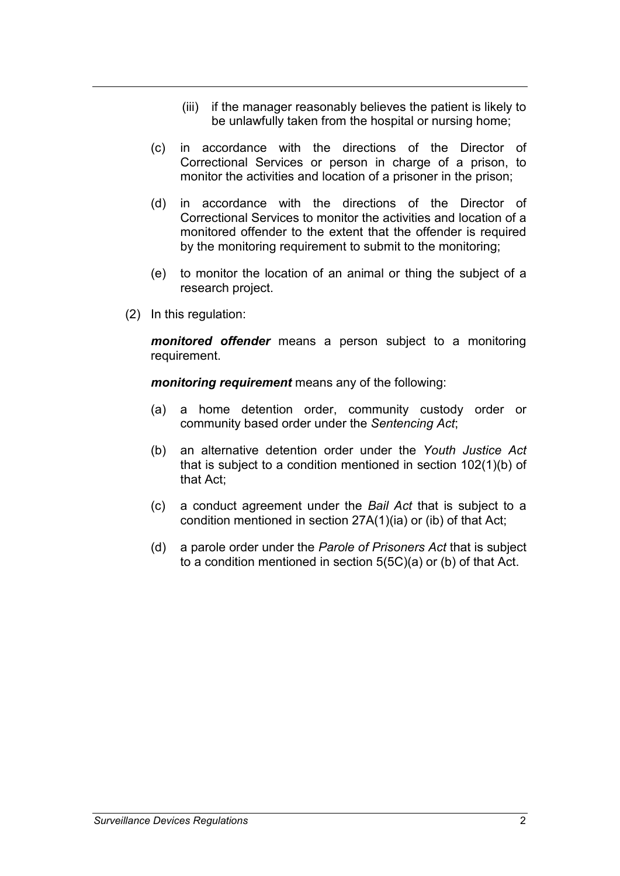- (iii) if the manager reasonably believes the patient is likely to be unlawfully taken from the hospital or nursing home;
- (c) in accordance with the directions of the Director of Correctional Services or person in charge of a prison, to monitor the activities and location of a prisoner in the prison;
- (d) in accordance with the directions of the Director of Correctional Services to monitor the activities and location of a monitored offender to the extent that the offender is required by the monitoring requirement to submit to the monitoring;
- (e) to monitor the location of an animal or thing the subject of a research project.
- (2) In this regulation:

*monitored offender* means a person subject to a monitoring requirement.

*monitoring requirement* means any of the following:

- (a) a home detention order, community custody order or community based order under the *Sentencing Act*;
- (b) an alternative detention order under the *Youth Justice Act*  that is subject to a condition mentioned in section 102(1)(b) of that Act;
- (c) a conduct agreement under the *Bail Act* that is subject to a condition mentioned in section 27A(1)(ia) or (ib) of that Act;
- (d) a parole order under the *Parole of Prisoners Act* that is subject to a condition mentioned in section 5(5C)(a) or (b) of that Act.